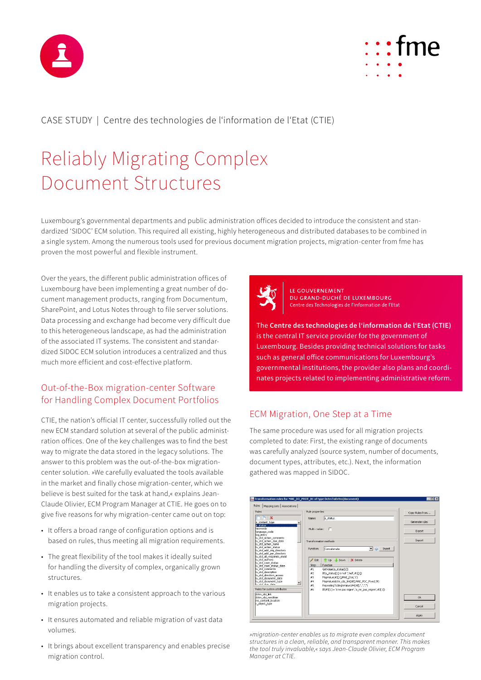



CASE STUDY | Centre des technologies de l'information de l'Etat (CTIE)

# Reliably Migrating Complex Document Structures

Luxembourg's governmental departments and public administration offices decided to introduce the consistent and standardized 'SIDOC' ECM solution. This required all existing, highly heterogeneous and distributed databases to be combined in a single system. Among the numerous tools used for previous document migration projects, migration-center from fme has proven the most powerful and flexible instrument.

Over the years, the different public administration offices of Luxembourg have been implementing a great number of document management products, ranging from Documentum, SharePoint, and Lotus Notes through to file server solutions. Data processing and exchange had become very difficult due to this heterogeneous landscape, as had the administration of the associated IT systems. The consistent and standardized SIDOC ECM solution introduces a centralized and thus much more efficient and cost-effective platform.

## Out-of-the-Box migration-center Software for Handling Complex Document Portfolios

CTIE, the nation's official IT center, successfully rolled out the new ECM standard solution at several of the public administration offices. One of the key challenges was to find the best way to migrate the data stored in the legacy solutions. The answer to this problem was the out-of-the-box migrationcenter solution. »We carefully evaluated the tools available in the market and finally chose migration-center, which we believe is best suited for the task at hand,« explains Jean-Claude Olivier, ECM Program Manager at CTIE. He goes on to give five reasons for why migration-center came out on top:

- It offers a broad range of configuration options and is based on rules, thus meeting all migration requirements.
- The great flexibility of the tool makes it ideally suited for handling the diversity of complex, organically grown structures.
- It enables us to take a consistent approach to the various migration projects.
- It ensures automated and reliable migration of vast data volumes.
- It brings about excellent transparency and enables precise migration control.



LE GOUVERNEMENT DU GRAND-DUCHÉ DE LUXEMBOURG Centre des Technologies de l'Information de l'Etat

The **Centre des technologies de l'information de l'Etat (CTIE)** is the central IT service provider for the government of Luxembourg. Besides providing technical solutions for tasks such as general office communications for Luxembourg's governmental institutions, the provider also plans and coordinates projects related to implementing administrative reform.

## ECM Migration, One Step at a Time

The same procedure was used for all migration projects completed to date: First, the existing range of documents was carefully analyzed (source system, number of documents, document types, attributes, etc.). Next, the information gathered was mapped in SIDOC.



*»migration-center enables us to migrate even complex document structures in a clean, reliable, and transparent manner. This makes the tool truly invaluable,« says Jean-Claude Olivier, ECM Program Manager at CTIE.*